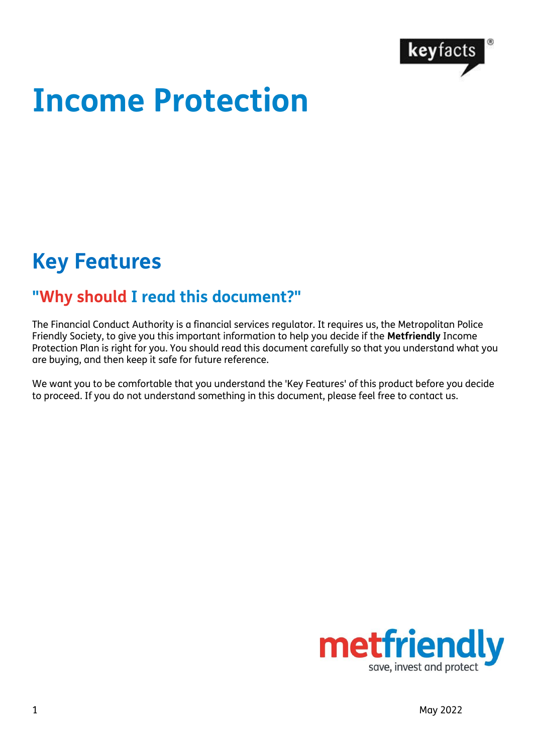

# **Income Protection**

# **Key Features**

#### **"Why should I read this document?"**

The Financial Conduct Authority is a financial services regulator. It requires us, the Metropolitan Police Friendly Society, to give you this important information to help you decide if the **Metfriendly** Income Protection Plan is right for you. You should read this document carefully so that you understand what you are buying, and then keep it safe for future reference.

We want you to be comfortable that you understand the 'Key Features' of this product before you decide to proceed. If you do not understand something in this document, please feel free to contact us.

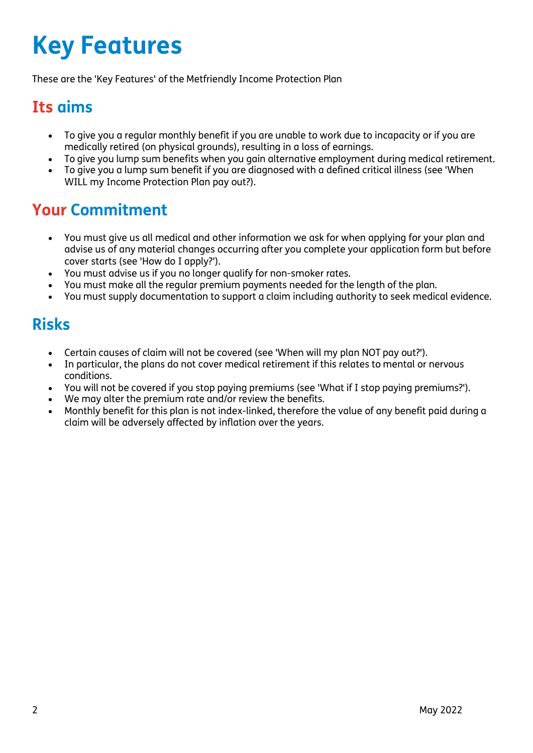# **Key Features**

These are the 'Key Features' of the Metfriendly Income Protection Plan

#### **Its aims**

- To give you a regular monthly benefit if you are unable to work due to incapacity or if you are medically retired (on physical grounds), resulting in a loss of earnings.
- To give you lump sum benefits when you gain alternative employment during medical retirement.
- To give you a lump sum benefit if you are diagnosed with a defined critical illness (see 'When WILL my Income Protection Plan pay out?).

#### **Your Commitment**

- You must give us all medical and other information we ask for when applying for your plan and advise us of any material changes occurring after you complete your application form but before cover starts (see 'How do I apply?').
- You must advise us if you no longer qualify for non-smoker rates.
- You must make all the regular premium payments needed for the length of the plan.
- You must supply documentation to support a claim including authority to seek medical evidence.

### **Risks**

- Certain causes of claim will not be covered (see 'When will my plan NOT pay out?').
- In particular, the plans do not cover medical retirement if this relates to mental or nervous conditions.
- You will not be covered if you stop paying premiums (see 'What if I stop paying premiums?').
- We may alter the premium rate and/or review the benefits.
- Monthly benefit for this plan is not index-linked, therefore the value of any benefit paid during a claim will be adversely affected by inflation over the years.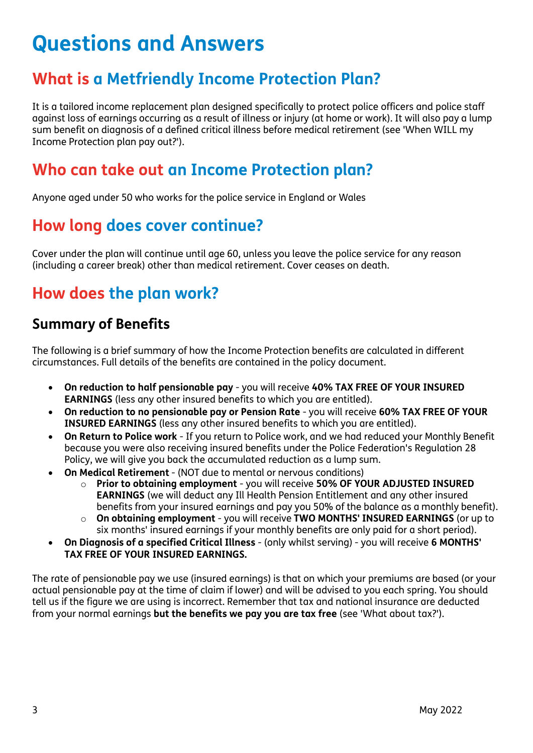# **Questions and Answers**

#### **What is a Metfriendly Income Protection Plan?**

It is a tailored income replacement plan designed specifically to protect police officers and police staff against loss of earnings occurring as a result of illness or injury (at home or work). It will also pay a lump sum benefit on diagnosis of a defined critical illness before medical retirement (see 'When WILL my Income Protection plan pay out?').

#### **Who can take out an Income Protection plan?**

Anyone aged under 50 who works for the police service in England or Wales

#### **How long does cover continue?**

Cover under the plan will continue until age 60, unless you leave the police service for any reason (including a career break) other than medical retirement. Cover ceases on death.

#### **How does the plan work?**

#### **Summary of Benefits**

The following is a brief summary of how the Income Protection benefits are calculated in different circumstances. Full details of the benefits are contained in the policy document.

- **On reduction to half pensionable pay** you will receive **40% TAX FREE OF YOUR INSURED EARNINGS** (less any other insured benefits to which you are entitled).
- **On reduction to no pensionable pay or Pension Rate**  you will receive **60% TAX FREE OF YOUR INSURED EARNINGS** (less any other insured benefits to which you are entitled).
- **On Return to Police work**  If you return to Police work, and we had reduced your Monthly Benefit because you were also receiving insured benefits under the Police Federation's Regulation 28 Policy, we will give you back the accumulated reduction as a lump sum.
- **On Medical Retirement** (NOT due to mental or nervous conditions)
	- o **Prior to obtaining employment**  you will receive **50% OF YOUR ADJUSTED INSURED EARNINGS** (we will deduct any Ill Health Pension Entitlement and any other insured benefits from your insured earnings and pay you 50% of the balance as a monthly benefit).
	- o **On obtaining employment** you will receive **TWO MONTHS' INSURED EARNINGS** (or up to six months' insured earnings if your monthly benefits are only paid for a short period).
- **On Diagnosis of a specified Critical Illness** (only whilst serving) you will receive **6 MONTHS' TAX FREE OF YOUR INSURED EARNINGS.**

The rate of pensionable pay we use (insured earnings) is that on which your premiums are based (or your actual pensionable pay at the time of claim if lower) and will be advised to you each spring. You should tell us if the figure we are using is incorrect. Remember that tax and national insurance are deducted from your normal earnings **but the benefits we pay you are tax free** (see 'What about tax?').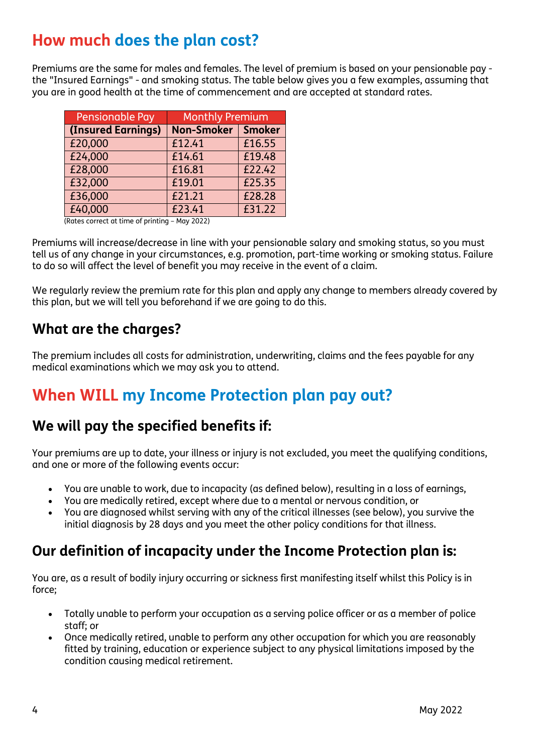#### **How much does the plan cost?**

Premiums are the same for males and females. The level of premium is based on your pensionable pay the "Insured Earnings" - and smoking status. The table below gives you a few examples, assuming that you are in good health at the time of commencement and are accepted at standard rates.

| Pensionable Pay    | <b>Monthly Premium</b> |               |
|--------------------|------------------------|---------------|
| (Insured Earnings) | <b>Non-Smoker</b>      | <b>Smoker</b> |
| £20,000            | £12.41                 | £16.55        |
| £24,000            | £14.61                 | £19.48        |
| £28,000            | £16.81                 | £22.42        |
| £32,000            | £19.01                 | £25.35        |
| £36,000            | £21.21                 | £28.28        |
| £40,000            | £23.41                 | £31.22        |

(Rates correct at time of printing – May 2022)

Premiums will increase/decrease in line with your pensionable salary and smoking status, so you must tell us of any change in your circumstances, e.g. promotion, part-time working or smoking status. Failure to do so will affect the level of benefit you may receive in the event of a claim.

We regularly review the premium rate for this plan and apply any change to members already covered by this plan, but we will tell you beforehand if we are going to do this.

#### **What are the charges?**

The premium includes all costs for administration, underwriting, claims and the fees payable for any medical examinations which we may ask you to attend.

#### **When WILL my Income Protection plan pay out?**

#### **We will pay the specified benefits if:**

Your premiums are up to date, your illness or injury is not excluded, you meet the qualifying conditions, and one or more of the following events occur:

- You are unable to work, due to incapacity (as defined below), resulting in a loss of earnings,
- You are medically retired, except where due to a mental or nervous condition, or
- You are diagnosed whilst serving with any of the critical illnesses (see below), you survive the initial diagnosis by 28 days and you meet the other policy conditions for that illness.

#### **Our definition of incapacity under the Income Protection plan is:**

You are, as a result of bodily injury occurring or sickness first manifesting itself whilst this Policy is in force;

- Totally unable to perform your occupation as a serving police officer or as a member of police staff; or
- Once medically retired, unable to perform any other occupation for which you are reasonably fitted by training, education or experience subject to any physical limitations imposed by the condition causing medical retirement.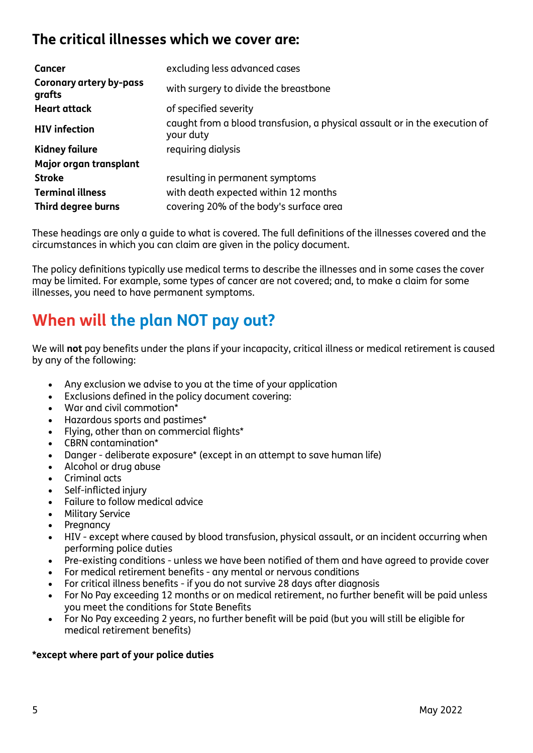#### **The critical illnesses which we cover are:**

| Cancer                                   | excluding less advanced cases                                                           |
|------------------------------------------|-----------------------------------------------------------------------------------------|
| <b>Coronary artery by-pass</b><br>grafts | with surgery to divide the breastbone                                                   |
| <b>Heart attack</b>                      | of specified severity                                                                   |
| <b>HIV</b> infection                     | caught from a blood transfusion, a physical assault or in the execution of<br>your duty |
| <b>Kidney failure</b>                    | requiring dialysis                                                                      |
| Major organ transplant                   |                                                                                         |
| <b>Stroke</b>                            | resulting in permanent symptoms                                                         |
| <b>Terminal illness</b>                  | with death expected within 12 months                                                    |
| Third degree burns                       | covering 20% of the body's surface area                                                 |

These headings are only a guide to what is covered. The full definitions of the illnesses covered and the circumstances in which you can claim are given in the policy document.

The policy definitions typically use medical terms to describe the illnesses and in some cases the cover may be limited. For example, some types of cancer are not covered; and, to make a claim for some illnesses, you need to have permanent symptoms.

#### **When will the plan NOT pay out?**

We will **not** pay benefits under the plans if your incapacity, critical illness or medical retirement is caused by any of the following:

- Any exclusion we advise to you at the time of your application
- Exclusions defined in the policy document covering:
- War and civil commotion\*
- Hazardous sports and pastimes\*
- Flying, other than on commercial flights\*
- CBRN contamination\*
- Danger deliberate exposure\* (except in an attempt to save human life)
- Alcohol or drug abuse
- Criminal acts
- Self-inflicted injury
- Failure to follow medical advice
- Military Service
- **Pregnancy**
- HIV except where caused by blood transfusion, physical assault, or an incident occurring when performing police duties
- Pre-existing conditions unless we have been notified of them and have agreed to provide cover
- For medical retirement benefits any mental or nervous conditions
- For critical illness benefits if you do not survive 28 days after diagnosis
- For No Pay exceeding 12 months or on medical retirement, no further benefit will be paid unless you meet the conditions for State Benefits
- For No Pay exceeding 2 years, no further benefit will be paid (but you will still be eligible for medical retirement benefits)

#### **\*except where part of your police duties**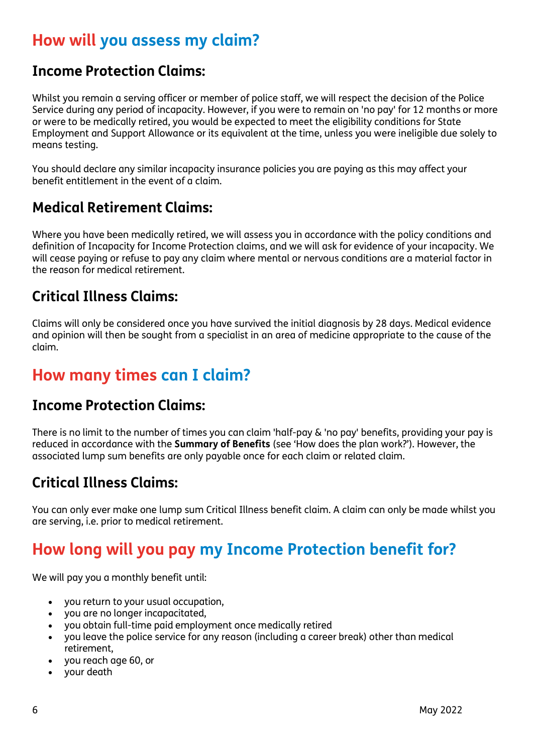#### **How will you assess my claim?**

#### **Income Protection Claims:**

Whilst you remain a serving officer or member of police staff, we will respect the decision of the Police Service during any period of incapacity. However, if you were to remain on 'no pay' for 12 months or more or were to be medically retired, you would be expected to meet the eligibility conditions for State Employment and Support Allowance or its equivalent at the time, unless you were ineligible due solely to means testing.

You should declare any similar incapacity insurance policies you are paying as this may affect your benefit entitlement in the event of a claim.

#### **Medical Retirement Claims:**

Where you have been medically retired, we will assess you in accordance with the policy conditions and definition of Incapacity for Income Protection claims, and we will ask for evidence of your incapacity. We will cease paying or refuse to pay any claim where mental or nervous conditions are a material factor in the reason for medical retirement.

#### **Critical Illness Claims:**

Claims will only be considered once you have survived the initial diagnosis by 28 days. Medical evidence and opinion will then be sought from a specialist in an area of medicine appropriate to the cause of the claim.

#### **How many times can I claim?**

#### **Income Protection Claims:**

There is no limit to the number of times you can claim 'half-pay & 'no pay' benefits, providing your pay is reduced in accordance with the **Summary of Benefits** (see 'How does the plan work?'). However, the associated lump sum benefits are only payable once for each claim or related claim.

#### **Critical Illness Claims:**

You can only ever make one lump sum Critical Illness benefit claim. A claim can only be made whilst you are serving, i.e. prior to medical retirement.

### **How long will you pay my Income Protection benefit for?**

We will pay you a monthly benefit until:

- you return to your usual occupation,
- you are no longer incapacitated,
- you obtain full-time paid employment once medically retired
- you leave the police service for any reason (including a career break) other than medical retirement,
- you reach age 60, or
- your death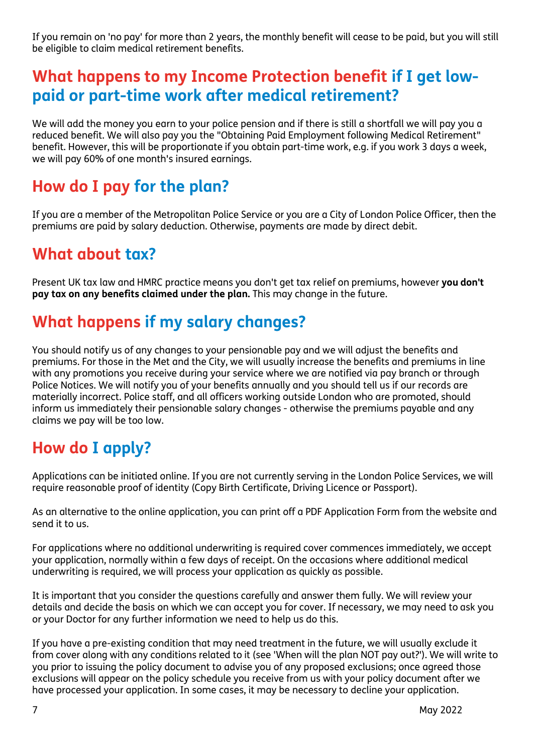If you remain on 'no pay' for more than 2 years, the monthly benefit will cease to be paid, but you will still be eligible to claim medical retirement benefits.

#### **What happens to my Income Protection benefit if I get lowpaid or part-time work after medical retirement?**

We will add the money you earn to your police pension and if there is still a shortfall we will pay you a reduced benefit. We will also pay you the "Obtaining Paid Employment following Medical Retirement" benefit. However, this will be proportionate if you obtain part-time work, e.g. if you work 3 days a week, we will pay 60% of one month's insured earnings.

#### **How do I pay for the plan?**

If you are a member of the Metropolitan Police Service or you are a City of London Police Officer, then the premiums are paid by salary deduction. Otherwise, payments are made by direct debit.

#### **What about tax?**

Present UK tax law and HMRC practice means you don't get tax relief on premiums, however **you don't pay tax on any benefits claimed under the plan.** This may change in the future.

#### **What happens if my salary changes?**

You should notify us of any changes to your pensionable pay and we will adjust the benefits and premiums. For those in the Met and the City, we will usually increase the benefits and premiums in line with any promotions you receive during your service where we are notified via pay branch or through Police Notices. We will notify you of your benefits annually and you should tell us if our records are materially incorrect. Police staff, and all officers working outside London who are promoted, should inform us immediately their pensionable salary changes - otherwise the premiums payable and any claims we pay will be too low.

#### **How do I apply?**

Applications can be initiated online. If you are not currently serving in the London Police Services, we will require reasonable proof of identity (Copy Birth Certificate, Driving Licence or Passport).

As an alternative to the online application, you can print off a PDF Application Form from the website and send it to us.

For applications where no additional underwriting is required cover commences immediately, we accept your application, normally within a few days of receipt. On the occasions where additional medical underwriting is required, we will process your application as quickly as possible.

It is important that you consider the questions carefully and answer them fully. We will review your details and decide the basis on which we can accept you for cover. If necessary, we may need to ask you or your Doctor for any further information we need to help us do this.

If you have a pre-existing condition that may need treatment in the future, we will usually exclude it from cover along with any conditions related to it (see 'When will the plan NOT pay out?'). We will write to you prior to issuing the policy document to advise you of any proposed exclusions; once agreed those exclusions will appear on the policy schedule you receive from us with your policy document after we have processed your application. In some cases, it may be necessary to decline your application.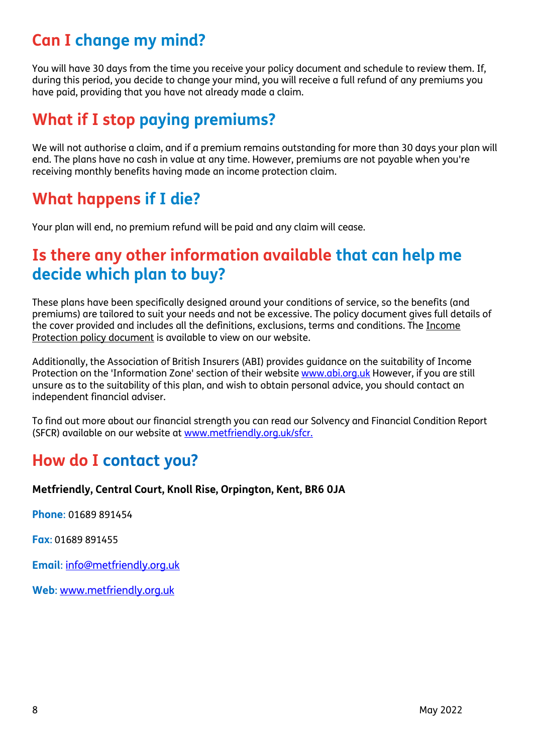### **Can I change my mind?**

You will have 30 days from the time you receive your policy document and schedule to review them. If, during this period, you decide to change your mind, you will receive a full refund of any premiums you have paid, providing that you have not already made a claim.

### **What if I stop paying premiums?**

We will not authorise a claim, and if a premium remains outstanding for more than 30 days your plan will end. The plans have no cash in value at any time. However, premiums are not payable when you're receiving monthly benefits having made an income protection claim.

#### **What happens if I die?**

Your plan will end, no premium refund will be paid and any claim will cease.

#### **Is there any other information available that can help me decide which plan to buy?**

These plans have been specifically designed around your conditions of service, so the benefits (and premiums) are tailored to suit your needs and not be excessive. The policy document gives full details of the cover provided and includes all the definitions, exclusions, terms and conditions. The [Income](http://brand.metfriendly.org.uk/assets/met_friendly/public/content/working/pdfs/ipWording0812.pdf) [Protection policy document](http://brand.metfriendly.org.uk/assets/met_friendly/public/content/working/pdfs/ipWording0812.pdf) is available to view on our website.

Additionally, the Association of British Insurers (ABI) provides guidance on the suitability of Income Protection on the 'Information Zone' section of their website [www.abi.org.uk](http://www.abi.org.uk/) However, if you are still unsure as to the suitability of this plan, and wish to obtain personal advice, you should contact an independent financial adviser.

To find out more about our financial strength you can read our Solvency and Financial Condition Report (SFCR) available on our website at [www.metfriendly.org.uk/sfcr.](http://www.metfriendly.org.uk/sfcr)

#### **How do I contact you?**

#### **Metfriendly, Central Court, Knoll Rise, Orpington, Kent, BR6 0JA**

**Phone**: 01689 891454

**Fax**: 01689 891455

**Email**: [info@metfriendly.org.uk](mailto:info@metfriendly.org.uk)

**Web**: [www.metfriendly.org.uk](http://www.metfriendly.org.uk/)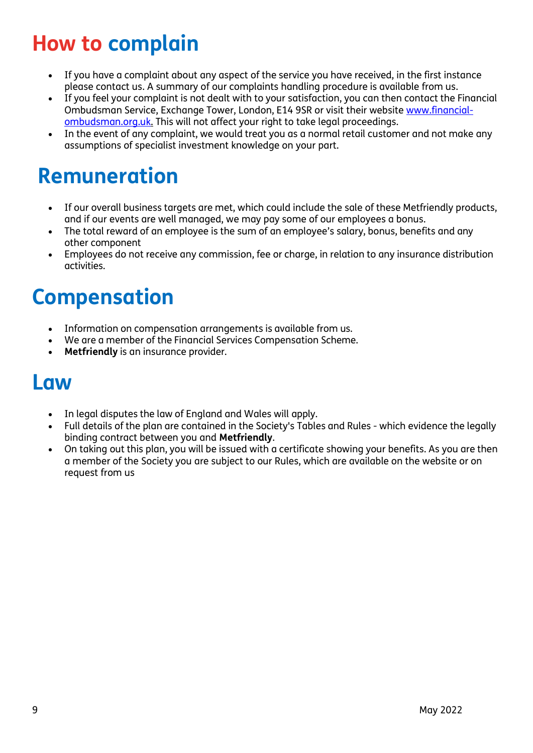# **How to complain**

- If you have a complaint about any aspect of the service you have received, in the first instance please contact us. A summary of our complaints handling procedure is available from us.
- If you feel your complaint is not dealt with to your satisfaction, you can then contact the Financial Ombudsman Service, Exchange Tower, London, E14 9SR or visit their website [www.financial](http://www.financial-ombudsman.org.uk/)[ombudsman.org.uk. T](http://www.financial-ombudsman.org.uk/)his will not affect your right to take legal proceedings.
- In the event of any complaint, we would treat you as a normal retail customer and not make any assumptions of specialist investment knowledge on your part.

# **Remuneration**

- If our overall business targets are met, which could include the sale of these Metfriendly products, and if our events are well managed, we may pay some of our employees a bonus.
- The total reward of an employee is the sum of an employee's salary, bonus, benefits and any other component
- Employees do not receive any commission, fee or charge, in relation to any insurance distribution activities.

## **Compensation**

- Information on compensation arrangements is available from us.
- We are a member of the Financial Services [Compensation](http://www.fscs.org.uk/) Scheme.
- **Metfriendly** is an insurance provider.

## **Law**

- In legal disputes the law of England and Wales will apply.
- Full details of the plan are contained in the Society'[s Tables](http://www.mpfs.org.uk/about-metfriendly/rules-and-tables/table-25) and Rules which evidence the legally binding contract between you and **Metfriendly**.
- On taking out this plan, you will be issued with a certificate showing your benefits. As you are then a member of the Society you are subject to our [Rules, w](http://www.mpfs.org.uk/assets/met_friendly/public/content/working/pdfs/MPFS-RULES.pdf)hich are available on the website or on request from us